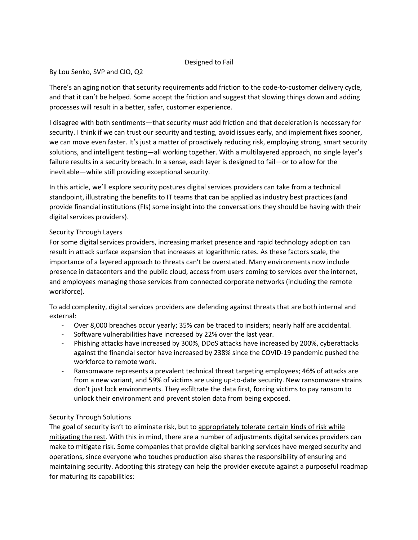### Designed to Fail

### By Lou Senko, SVP and CIO, Q2

There's an aging notion that security requirements add friction to the code-to-customer delivery cycle, and that it can't be helped. Some accept the friction and suggest that slowing things down and adding processes will result in a better, safer, customer experience.

I disagree with both sentiments—that security *must* add friction and that deceleration is necessary for security. I think if we can trust our security and testing, avoid issues early, and implement fixes sooner, we can move even faster. It's just a matter of proactively reducing risk, employing strong, smart security solutions, and intelligent testing—all working together. With a multilayered approach, no single layer's failure results in a security breach. In a sense, each layer is designed to fail—or to allow for the inevitable—while still providing exceptional security.

In this article, we'll explore security postures digital services providers can take from a technical standpoint, illustrating the benefits to IT teams that can be applied as industry best practices (and provide financial institutions (FIs) some insight into the conversations they should be having with their digital services providers).

## Security Through Layers

For some digital services providers, increasing market presence and rapid technology adoption can result in attack surface expansion that increases at logarithmic rates. As these factors scale, the importance of a layered approach to threats can't be overstated. Many environments now include presence in datacenters and the public cloud, access from users coming to services over the internet, and employees managing those services from connected corporate networks (including the remote workforce).

To add complexity, digital services providers are defending against threats that are both internal and external:

- Over 8,000 breaches occur yearly; 35% can be traced to insiders; nearly half are accidental.
- Software vulnerabilities have increased by 22% over the last year.
- Phishing attacks have increased by 300%, DDoS attacks have increased by 200%, cyberattacks against the financial sector have increased by 238% since the COVID-19 pandemic pushed the workforce to remote work.
- Ransomware represents a prevalent technical threat targeting employees; 46% of attacks are from a new variant, and 59% of victims are using up-to-date security. New ransomware strains don't just lock environments. They exfiltrate the data first, forcing victims to pay ransom to unlock their environment and prevent stolen data from being exposed.

# Security Through Solutions

The goal of security isn't to eliminate risk, but to appropriately tolerate certain kinds of risk while mitigating the rest. With this in mind, there are a number of adjustments digital services providers can make to mitigate risk. Some companies that provide digital banking services have merged security and operations, since everyone who touches production also shares the responsibility of ensuring and maintaining security. Adopting this strategy can help the provider execute against a purposeful roadmap for maturing its capabilities: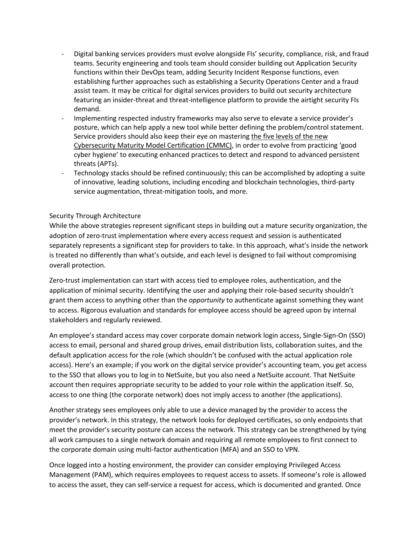- Digital banking services providers must evolve alongside FIs' security, compliance, risk, and fraud teams. Security engineering and tools team should consider building out Application Security functions within their DevOps team, adding Security Incident Response functions, even establishing further approaches such as establishing a Security Operations Center and a fraud assist team. It may be critical for digital services providers to build out security architecture featuring an insider-threat and threat-intelligence platform to provide the airtight security FIs demand.
- Implementing respected industry frameworks may also serve to elevate a service provider's posture, which can help apply a new tool while better defining the problem/control statement. Service providers should also keep their eye on mastering the five levels of the new Cybersecurity Maturity Model Certification (CMMC), in order to evolve from practicing 'good cyber hygiene' to executing enhanced practices to detect and respond to advanced persistent threats (APTs).
- Technology stacks should be refined continuously; this can be accomplished by adopting a suite of innovative, leading solutions, including encoding and blockchain technologies, third-party service augmentation, threat-mitigation tools, and more.

### Security Through Architecture

While the above strategies represent significant steps in building out a mature security organization, the adoption of zero-trust implementation where every access request and session is authenticated separately represents a significant step for providers to take. In this approach, what's inside the network is treated no differently than what's outside, and each level is designed to fail without compromising overall protection.

Zero-trust implementation can start with access tied to employee roles, authentication, and the application of minimal security. Identifying the user and applying their role-based security shouldn't grant them access to anything other than the *opportunity* to authenticate against something they want to access. Rigorous evaluation and standards for employee access should be agreed upon by internal stakeholders and regularly reviewed.

An employee's standard access may cover corporate domain network login access, Single-Sign-On (SSO) access to email, personal and shared group drives, email distribution lists, collaboration suites, and the default application access for the role (which shouldn't be confused with the actual application role access). Here's an example; if you work on the digital service provider's accounting team, you get access to the SSO that allows you to log in to NetSuite, but you also need a NetSuite account. That NetSuite account then requires appropriate security to be added to your role within the application itself. So, access to one thing (the corporate network) does not imply access to another (the applications).

Another strategy sees employees only able to use a device managed by the provider to access the provider's network. In this strategy, the network looks for deployed certificates, so only endpoints that meet the provider's security posture can access the network. This strategy can be strengthened by tying all work campuses to a single network domain and requiring all remote employees to first connect to the corporate domain using multi-factor authentication (MFA) and an SSO to VPN.

Once logged into a hosting environment, the provider can consider employing Privileged Access Management (PAM), which requires employees to request access to assets. If someone's role is allowed to access the asset, they can self-service a request for access, which is documented and granted. Once